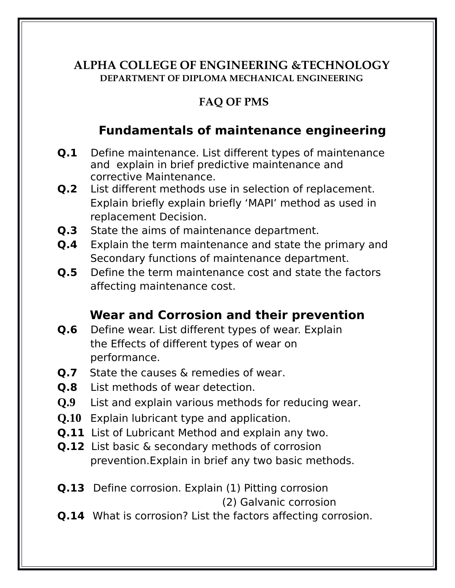#### **ALPHA COLLEGE OF ENGINEERING &TECHNOLOGY DEPARTMENT OF DIPLOMA MECHANICAL ENGINEERING**

#### **FAQ OF PMS**

#### **Fundamentals of maintenance engineering**

- **Q.1** Define maintenance. List different types of maintenance and explain in brief predictive maintenance and corrective Maintenance.
- **Q.2** List different methods use in selection of replacement. Explain briefly explain briefly 'MAPI' method as used in replacement Decision.
- **Q.3** State the aims of maintenance department.
- **Q.4** Explain the term maintenance and state the primary and Secondary functions of maintenance department.
- **Q.5** Define the term maintenance cost and state the factors affecting maintenance cost.

#### **Wear and Corrosion and their prevention**

- **Q.6** Define wear. List different types of wear. Explain the Effects of different types of wear on performance.
- **Q.7** State the causes & remedies of wear.
- **Q.8** List methods of wear detection.
- **Q.9** List and explain various methods for reducing wear.
- **Q.10** Explain lubricant type and application.
- **Q.11** List of Lubricant Method and explain any two.
- **Q.12** List basic & secondary methods of corrosion prevention.Explain in brief any two basic methods.
- **Q.13** Define corrosion. Explain (1) Pitting corrosion

(2) Galvanic corrosion

**Q.14** What is corrosion? List the factors affecting corrosion.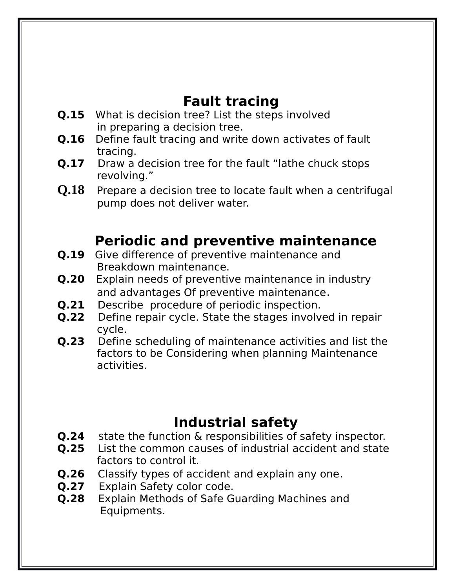## **Fault tracing**

- **Q.15** What is decision tree? List the steps involved in preparing a decision tree.
- **Q.16** Define fault tracing and write down activates of fault tracing.
- **Q.17** Draw a decision tree for the fault "lathe chuck stops" revolving."
- **Q.18** Prepare a decision tree to locate fault when a centrifugal pump does not deliver water.

# **Periodic and preventive maintenance**

- **Q.19** Give difference of preventive maintenance and Breakdown maintenance.
- **Q.20** Explain needs of preventive maintenance in industry and advantages Of preventive maintenance.<br>**O.21** Describe procedure of periodic inspection.
- Describe procedure of periodic inspection.
- **Q.22** Define repair cycle. State the stages involved in repair cycle.
- **Q.23** Define scheduling of maintenance activities and list the factors to be Considering when planning Maintenance activities.

## **Industrial safety**

- **Q.24** State the function & responsibilities of safety inspector.
- **Q.25** List the common causes of industrial accident and state factors to control it.
- **Q.26** Classify types of accident and explain any one.
- **Q.27** Explain Safety color code.
- **Q.28** Explain Methods of Safe Guarding Machines and Equipments.